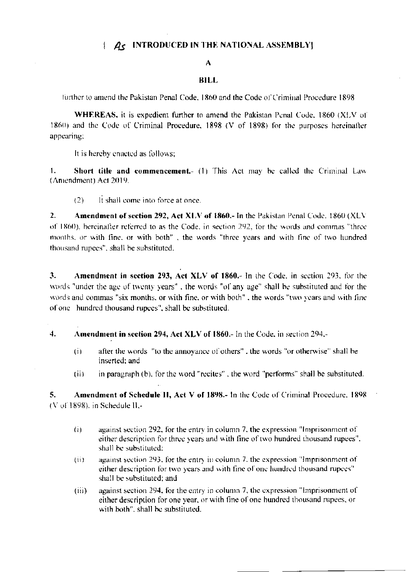## $\left\{\right.$   $\mathcal{A}_{\mathsf{S}}$  INTRODUCED IN THE NATIONAL ASSEMBLY:

### A

#### **BILL**

further to amend the Pakistan Penal Code, 1860 and the Code of Criminal Procedure 1898

WHEREAS, it is expedient further to amend the Pakistan Penal Code, 1860 (XLV of 1860) and the Code of Criminal Procedure, 1898 (V of 1898) for the purposes hereinafter appearing:

It is hereby enacted as follows;

1. Short title and commencement.- (1) This Act may be called the Criminal Law (Amendment) Act 2019.

It shall come into force at once.  $(2)$ 

 $2.$ **Amendment of section 292, Act XLV of 1860.-** In the Pakistan Penal Code. 1860 (XLV of 1860), hereinafter referred to as the Code, in section 292, for the words and commas "three months, or with fine, or with both", the words "three years and with fine of two hundred thousand rupees", shall be substituted.

3. Amendment in section 293, Act XLV of 1860.- In the Code, in section 293, for the words "under the age of twenty years", the words "of any age" shall be substituted and for the words and commas "six months, or with fine, or with both", the words "two years and with fine of one hundred thousand rupees", shall be substituted.

#### $\overline{4}$ . Amendment in section 294, Act XLV of 1860.- In the Code, in section 294,-

- $\overline{(\mathbf{i})}$ after the words "to the annoyance of others", the words "or otherwise" shall be inserted: and
- in paragraph (b), for the word "recites", the word "performs" shall be substituted.  $(ii)$

Amendment of Schedule II, Act V of 1898.- In the Code of Criminal Procedure, 1898 5.  $(V<sub>0</sub>f<sub>1</sub>1898)$ , in Schedule II,-

- against section 292, for the entry in column 7, the expression "Imprisonment of  $(i)$ either description for three years and with fine of two hundred thousand rupees". shall be substituted:
- against section 293, for the entry in column 7, the expression "Imprisonment of  $(ii)$ either description for two years and with fine of one hundred thousand rupees" shall be substituted; and
- against section 294, for the entry in column 7, the expression "Imprisonment of  $(iii)$ either description for one year, or with fine of one hundred thousand rupees, or with both", shall be substituted.